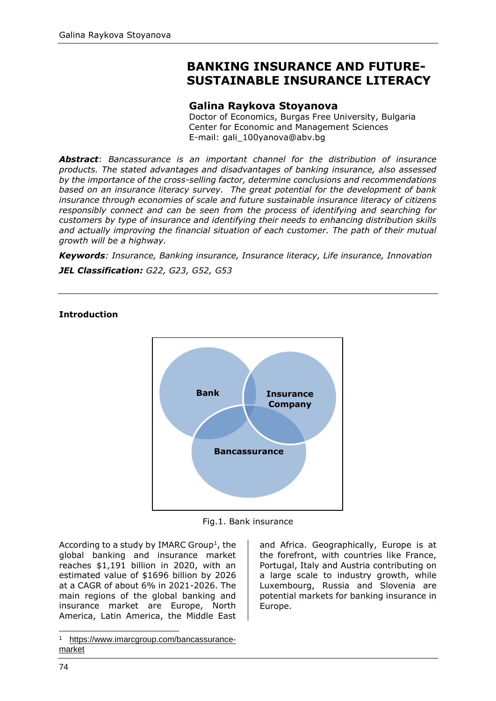# **BANKING INSURANCE AND FUTURE-SUSTAINABLE INSURANCE LITERACY**

## **Galina Raykova Stoyanova**

Doctor of Economics, Burgas Free University, Bulgaria Center for Economic and Management Sciences E-mail: [gali\\_100yanova@abv.bg](mailto:gali_100yanova@abv.bg)

*Abstract*: *Bancassurance is an important channel for the distribution of insurance products. The stated advantages and disadvantages of banking insurance, also assessed by the importance of the cross-selling factor, determine conclusions and recommendations based on an insurance literacy survey. The great potential for the development of bank insurance through economies of scale and future sustainable insurance literacy of citizens responsibly connect and can be seen from the process of identifying and searching for customers by type of insurance and identifying their needs to enhancing distribution skills and actually improving the financial situation of each customer. The path of their mutual growth will be a highway.*

*Keywords: Insurance, Banking insurance, Insurance literacy, Life insurance, Innovation*

*JEL Classification: G22, G23, G52, G53*

#### **Introduction**



Fig.1. Bank insurance

According to a study by IMARC Group<sup>1</sup>, the global banking and insurance market reaches \$1,191 billion in 2020, with an estimated value of \$1696 billion by 2026 at a CAGR of about 6% in 2021-2026. The main regions of the global banking and insurance market are Europe, North America, Latin America, the Middle East and Africa. Geographically, Europe is at the forefront, with countries like France, Portugal, Italy and Austria contributing on a large scale to industry growth, while Luxembourg, Russia and Slovenia are potential markets for banking insurance in Europe.

<sup>1</sup> [https://www.imarcgroup.com/bancassurance](https://www.imarcgroup.com/bancassurance-market)[market](https://www.imarcgroup.com/bancassurance-market)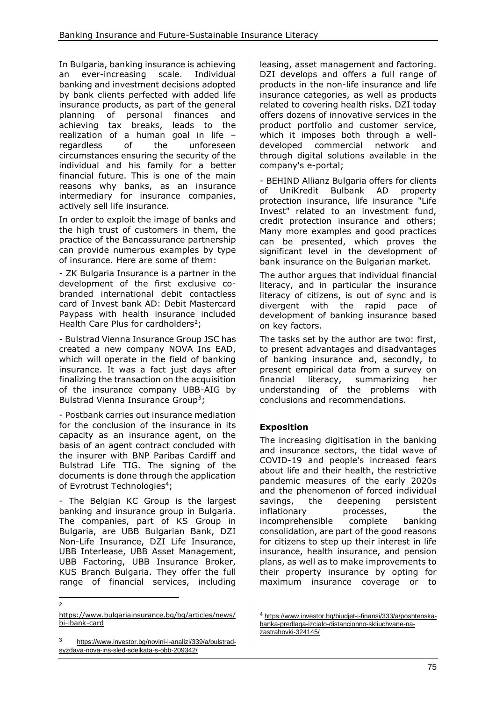In Bulgaria, banking insurance is achieving an ever-increasing scale. Individual banking and investment decisions adopted by bank clients perfected with added life insurance products, as part of the general planning of personal finances and achieving tax breaks, leads to the realization of a human goal in life – regardless of the unforeseen circumstances ensuring the security of the individual and his family for a better financial future. This is one of the main reasons why banks, as an insurance intermediary for insurance companies, actively sell life insurance.

In order to exploit the image of banks and the high trust of customers in them, the practice of the Bancassurance partnership can provide numerous examples by type of insurance. Here are some of them:

- ZK Bulgaria Insurance is a partner in the development of the first exclusive cobranded international debit contactless card of Invest bank AD: Debit Mastercard Paypass with health insurance included Health Care Plus for cardholders<sup>2</sup>;

- Bulstrad Vienna Insurance Group JSC has created a new company NOVA Ins EAD, which will operate in the field of banking insurance. It was a fact just days after finalizing the transaction on the acquisition of the insurance company UBB-AIG by Bulstrad Vienna Insurance Group<sup>3</sup>;

- Postbank carries out insurance mediation for the conclusion of the insurance in its capacity as an insurance agent, on the basis of an agent contract concluded with the insurer with BNP Paribas Cardiff and Bulstrad Life TIG. The signing of the documents is done through the application of Evrotrust Technologies<sup>4</sup>;

- The Belgian KC Group is the largest banking and insurance group in Bulgaria. The companies, part of KS Group in Bulgaria, are UBB Bulgarian Bank, DZI Non-Life Insurance, DZI Life Insurance, UBB Interlease, UBB Asset Management, UBB Factoring, UBB Insurance Broker, KUS Branch Bulgaria. They offer the full range of financial services, including

[https://www.bulgariainsurance.bg/bg/articles/news/](https://www.bulgariainsurance.bg/bg/articles/news/bi-ibank-card) [bi-ibank-card](https://www.bulgariainsurance.bg/bg/articles/news/bi-ibank-card)

 $\overline{2}$ 

leasing, asset management and factoring. DZI develops and offers a full range of products in the non-life insurance and life insurance categories, as well as products related to covering health risks. DZI today offers dozens of innovative services in the product portfolio and customer service, which it imposes both through a welldeveloped commercial network and through digital solutions available in the company's e-portal;

- BEHIND Allianz Bulgaria offers for clients of UniKredit Bulbank AD property protection insurance, life insurance "Life Invest" related to an investment fund, credit protection insurance and others; Many more examples and good practices can be presented, which proves the significant level in the development of bank insurance on the Bulgarian market.

The author argues that individual financial literacy, and in particular the insurance literacy of citizens, is out of sync and is divergent with the rapid pace of development of banking insurance based on key factors.

The tasks set by the author are two: first, to present advantages and disadvantages of banking insurance and, secondly, to present empirical data from a survey on financial literacy, summarizing her understanding of the problems with conclusions and recommendations.

# **Exposition**

The increasing digitisation in the banking and insurance sectors, the tidal wave of COVID-19 and people's increased fears about life and their health, the restrictive pandemic measures of the early 2020s and the phenomenon of forced individual savings, the deepening persistent inflationary processes, the incomprehensible complete banking consolidation, are part of the good reasons for citizens to step up their interest in life insurance, health insurance, and pension plans, as well as to make improvements to their property insurance by opting for maximum insurance coverage or to

<sup>3</sup> [https://www.investor.bg/novini-i-analizi/339/a/bulstrad](https://www.investor.bg/novini-i-analizi/339/a/bulstrad-syzdava-nova-ins-sled-sdelkata-s-obb-209342/)[syzdava-nova-ins-sled-sdelkata-s-obb-209342/](https://www.investor.bg/novini-i-analizi/339/a/bulstrad-syzdava-nova-ins-sled-sdelkata-s-obb-209342/)

<sup>4</sup> [https://www.investor.bg/biudjet-i-finansi/333/a/poshtenska](https://www.investor.bg/biudjet-i-finansi/333/a/poshtenska-banka-predlaga-izcialo-distancionno-skliuchvane-na-zastrahovki-324145/)[banka-predlaga-izcialo-distancionno-skliuchvane-na](https://www.investor.bg/biudjet-i-finansi/333/a/poshtenska-banka-predlaga-izcialo-distancionno-skliuchvane-na-zastrahovki-324145/)[zastrahovki-324145/](https://www.investor.bg/biudjet-i-finansi/333/a/poshtenska-banka-predlaga-izcialo-distancionno-skliuchvane-na-zastrahovki-324145/)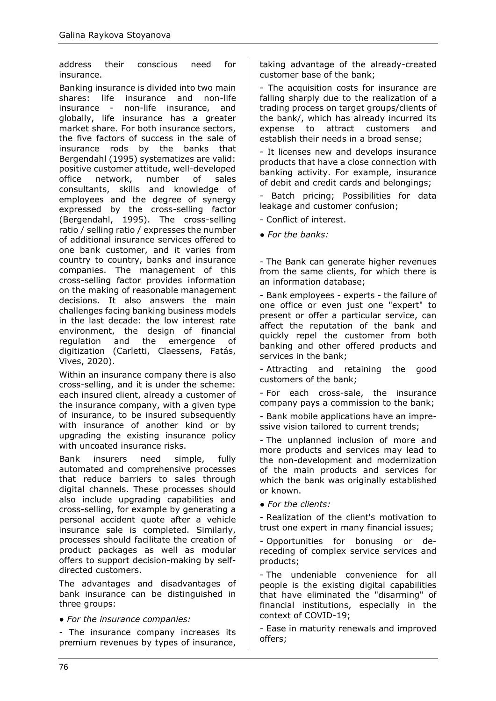address their conscious need for insurance.

Banking insurance is divided into two main shares: life insurance and non-life insurance - non-life insurance, and globally, life insurance has a greater market share. For both insurance sectors, the five factors of success in the sale of insurance rods by the banks that Bergendahl (1995) systematizes are valid: positive customer attitude, well-developed office network, number of sales consultants, skills and knowledge of employees and the degree of synergy expressed by the cross-selling factor (Bergendahl, 1995). The cross-selling ratio / selling ratio / expresses the number of additional insurance services offered to one bank customer, and it varies from country to country, banks and insurance companies. The management of this cross-selling factor provides information on the making of reasonable management decisions. It also answers the main challenges facing banking business models in the last decade: the low interest rate environment, the design of financial regulation and the emergence of digitization (Carletti, Claessens, Fatás, Vives, 2020).

Within an insurance company there is also cross-selling, and it is under the scheme: each insured client, already a customer of the insurance company, with a given type of insurance, to be insured subsequently with insurance of another kind or by upgrading the existing insurance policy with uncoated insurance risks.

Bank insurers need simple, fully automated and comprehensive processes that reduce barriers to sales through digital channels. These processes should also include upgrading capabilities and cross-selling, for example by generating a personal accident quote after a vehicle insurance sale is completed. Similarly, processes should facilitate the creation of product packages as well as modular offers to support decision-making by selfdirected customers.

The advantages and disadvantages of bank insurance can be distinguished in three groups:

● *For the insurance companies:* 

- The insurance company increases its premium revenues by types of insurance, taking advantage of the already-created customer base of the bank;

- The acquisition costs for insurance are falling sharply due to the realization of a trading process on target groups/clients of the bank/, which has already incurred its expense to attract customers and establish their needs in a broad sense;

- It licenses new and develops insurance products that have a close connection with banking activity. For example, insurance of debit and credit cards and belongings;

Batch pricing; Possibilities for data leakage and customer confusion;

- Conflict of interest.

● *For the banks:* 

- The Bank can generate higher revenues from the same clients, for which there is an information database;

- Bank employees - experts - the failure of one office or even just one "expert" to present or offer a particular service, can affect the reputation of the bank and quickly repel the customer from both banking and other offered products and services in the bank;

- Attracting and retaining the good customers of the bank;

- For each cross-sale, the insurance company pays a commission to the bank;

- Bank mobile applications have an impressive vision tailored to current trends;

- The unplanned inclusion of more and more products and services may lead to the non-development and modernization of the main products and services for which the bank was originally established or known.

● *For the clients:* 

- Realization of the client's motivation to trust one expert in many financial issues;

- Opportunities for bonusing or dereceding of complex service services and products;

- The undeniable convenience for all people is the existing digital capabilities that have eliminated the "disarming" of financial institutions, especially in the context of COVID-19;

- Ease in maturity renewals and improved offers;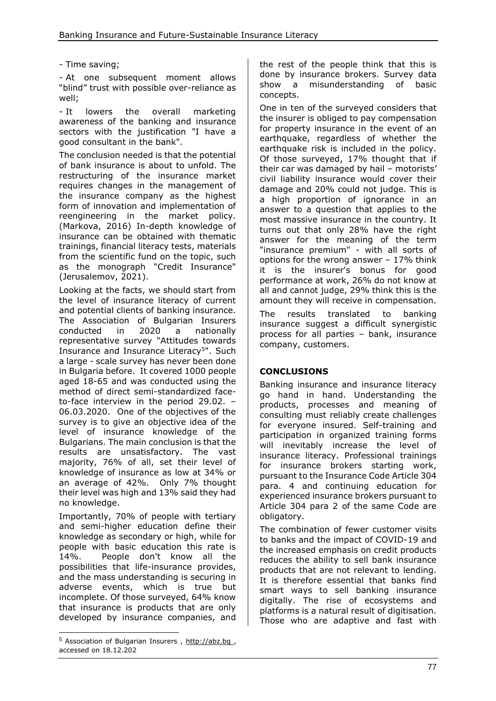## - Time saving;

- At one subsequent moment allows "blind" trust with possible over-reliance as well;

- It lowers the overall marketing awareness of the banking and insurance sectors with the justification "I have a good consultant in the bank".

The conclusion needed is that the potential of bank insurance is about to unfold. The restructuring of the insurance market requires changes in the management of the insurance company as the highest form of innovation and implementation of reengineering in the market policy. (Markova, 2016) In-depth knowledge of insurance can be obtained with thematic trainings, financial literacy tests, materials from the scientific fund on the topic, such as the monograph "Credit Insurance" (Jerusalemov, 2021).

Looking at the facts, we should start from the level of insurance literacy of current and potential clients of banking insurance. The Association of Bulgarian Insurers conducted in 2020 a nationally representative survey "Attitudes towards Insurance and Insurance Literacy<sup>5</sup>". Such a large - scale survey has never been done in Bulgaria before. It covered 1000 people aged 18-65 and was conducted using the method of direct semi-standardized faceto-face interview in the period 29.02. – 06.03.2020. One of the objectives of the survey is to give an objective idea of the level of insurance knowledge of the Bulgarians. The main conclusion is that the results are unsatisfactory. The vast majority, 76% of all, set their level of knowledge of insurance as low at 34% or an average of 42%. Only 7% thought their level was high and 13% said they had no knowledge.

Importantly, 70% of people with tertiary and semi-higher education define their knowledge as secondary or high, while for people with basic education this rate is 14%. People don't know all the possibilities that life-insurance provides, and the mass understanding is securing in adverse events, which is true but incomplete. Of those surveyed, 64% know that insurance is products that are only developed by insurance companies, and the rest of the people think that this is done by insurance brokers. Survey data show a misunderstanding of basic concepts.

One in ten of the surveyed considers that the insurer is obliged to pay compensation for property insurance in the event of an earthquake, regardless of whether the earthquake risk is included in the policy. Of those surveyed, 17% thought that if their car was damaged by hail – motorists' civil liability insurance would cover their damage and 20% could not judge. This is a high proportion of ignorance in an answer to a question that applies to the most massive insurance in the country. It turns out that only 28% have the right answer for the meaning of the term "insurance premium" - with all sorts of options for the wrong answer – 17% think it is the insurer's bonus for good performance at work, 26% do not know at all and cannot judge, 29% think this is the amount they will receive in compensation.

The results translated to banking insurance suggest a difficult synergistic process for all parties – bank, insurance company, customers.

## **CONCLUSIONS**

Banking insurance and insurance literacy go hand in hand. Understanding the products, processes and meaning of consulting must reliably create challenges for everyone insured. Self-training and participation in organized training forms will inevitably increase the level of insurance literacy. Professional trainings for insurance brokers starting work, pursuant to the Insurance Code Article 304 para. 4 and continuing education for experienced insurance brokers pursuant to Article 304 para 2 of the same Code are obligatory.

The combination of fewer customer visits to banks and the impact of COVID-19 and the increased emphasis on credit products reduces the ability to sell bank insurance products that are not relevant to lending. It is therefore essential that banks find smart ways to sell banking insurance digitally. The rise of ecosystems and platforms is a natural result of digitisation. Those who are adaptive and fast with

<sup>5</sup> Association of Bulgarian Insurers , [http://abz.bg](http://abz.bg/) , accessed on 18.12.202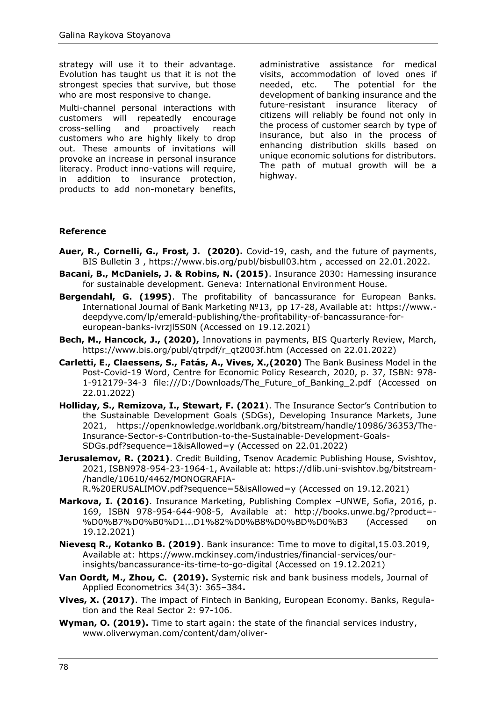strategy will use it to their advantage. Evolution has taught us that it is not the strongest species that survive, but those who are most responsive to change.

Multi-channel personal interactions with customers will repeatedly encourage cross-selling and proactively reach customers who are highly likely to drop out. These amounts of invitations will provoke an increase in personal insurance literacy. Product inno-vations will require, in addition to insurance protection, products to add non-monetary benefits,

administrative assistance for medical visits, accommodation of loved ones if needed, etc. The potential for the development of banking insurance and the future-resistant insurance literacy of citizens will reliably be found not only in the process of customer search by type of insurance, but also in the process of enhancing distribution skills based on unique economic solutions for distributors. The path of mutual growth will be a highway.

#### **Reference**

- **Auer, R., Cornelli, G., Frost, J. (2020).** Covid-19, cash, and the future of payments, BIS Bulletin 3 ,<https://www.bis.org/publ/bisbull03.htm> , accessed on 22.01.2022.
- **Bacani, B., McDaniels, J. & Robins, N. (2015)**. Insurance 2030: Harnessing insurance for sustainable development. Geneva: International Environment House.
- **Bergendahl, G. (1995)**. The profitability of bancassurance for European Banks. International Journal of Bank Marketing №13, pp 17-28, Available at: [https://www.](https://www.deepdyve.com/lp/emerald-publishing/the-profitability-of-bancassurance-for-european-banks-ivrzjl5S0N) [deepdyve.com/lp/emerald-publishing/the-profitability-of-bancassurance-for](https://www.deepdyve.com/lp/emerald-publishing/the-profitability-of-bancassurance-for-european-banks-ivrzjl5S0N)[european-banks-ivrzjl5S0N](https://www.deepdyve.com/lp/emerald-publishing/the-profitability-of-bancassurance-for-european-banks-ivrzjl5S0N) (Accessed on 19.12.2021)
- **Bech, M., Hancock, J., (2020),** Innovations in payments, BIS Quarterly Review, March, [https://www.bis.org/publ/qtrpdf/r\\_qt2003f.htm](https://www.bis.org/publ/qtrpdf/r_qt2003f.htm) (Accessed on 22.01.2022)
- **Carletti, E., Claessens, S., Fatás, A., Vives, X.,(2020)** The Bank Business Model in the Post-Covid-19 Word, Centre for Economic Policy Research, 2020, p. 37, ISBN: 978- 1-912179-34-3 [file:///D:/Downloads/The\\_Future\\_of\\_Banking\\_2.pdf](file:///D:/Downloads/The_Future_of_Banking_2.pdf) (Accessed on 22.01.2022)
- **Holliday, S., Remizova, I., Stewart, F. (2021**). The Insurance Sector's Contribution to the Sustainable Development Goals (SDGs), Developing Insurance Markets, June 2021, [https://openknowledge.worldbank.org/bitstream/handle/10986/36353/The-](https://openknowledge.worldbank.org/bitstream/handle/10986/36353/The-Insurance-Sector-s-Contribution-to-the-Sustainable-Development-Goals-SDGs.pdf?sequence=1&isAllowed=y)[Insurance-Sector-s-Contribution-to-the-Sustainable-Development-Goals-](https://openknowledge.worldbank.org/bitstream/handle/10986/36353/The-Insurance-Sector-s-Contribution-to-the-Sustainable-Development-Goals-SDGs.pdf?sequence=1&isAllowed=y)[SDGs.pdf?sequence=1&isAllowed=y](https://openknowledge.worldbank.org/bitstream/handle/10986/36353/The-Insurance-Sector-s-Contribution-to-the-Sustainable-Development-Goals-SDGs.pdf?sequence=1&isAllowed=y) (Accessed on 22.01.2022)
- **Jerusalemov, R. (2021)**. Credit Building, Tsenov Academic Publishing House, Svishtov, 2021, ISBN978-954-23-1964-1, Available at: [https://dlib.uni-svishtov.bg/bitstream-](https://dlib.uni-svishtov.bg/bitstream/handle/10610/4462/MONOGRAFIA-R.%20ERUSALIMOV.pdf?sequence=5&isAllowed=y) [/handle/10610/4462/MONOGRAFIA-](https://dlib.uni-svishtov.bg/bitstream/handle/10610/4462/MONOGRAFIA-R.%20ERUSALIMOV.pdf?sequence=5&isAllowed=y)[R.%20ERUSALIMOV.pdf?sequence=5&isAllowed=y](https://dlib.uni-svishtov.bg/bitstream/handle/10610/4462/MONOGRAFIA-R.%20ERUSALIMOV.pdf?sequence=5&isAllowed=y) (Accessed on 19.12.2021)
- **Markova, I. (2016)**. Insurance Marketing, Publishing Complex –UNWE, Sofia, 2016, p. 169, ISBN 978-954-644-908-5, Available at: [http://books.unwe.bg/?product=-](http://books.unwe.bg/?product=%D0%B7%D0%B0%D1...D1%82%D0%B8%D0%BD%D0%B3)
- [%D0%B7%D0%B0%D1...D1%82%D0%B8%D0%BD%D0%B3](http://books.unwe.bg/?product=%D0%B7%D0%B0%D1...D1%82%D0%B8%D0%BD%D0%B3) (Accessed on 19.12.2021)
- **Nievesq R., Kotanko B. (2019)**. Bank insurance: Time to move to digital,15.03.2019, Available at: [https://www.mckinsey.com/industries/financial-services/our](https://www.mckinsey.com/industries/financial-services/our-insights/bancassurance-its-time-to-go-digital)[insights/bancassurance-its-time-to-go-digital](https://www.mckinsey.com/industries/financial-services/our-insights/bancassurance-its-time-to-go-digital) (Accessed on 19.12.2021)
- **Van Oordt, M., Zhou, C. (2019).** Systemic risk and bank business models, Journal of Applied Econometrics 34(3): 365–384**.**
- **Vives, X. (2017)**. The impact of Fintech in Banking, European Economy. Banks, Regulation and the Real Sector 2: 97-106.
- **Wyman, O. (2019).** Time to start again: the state of the financial services industry, [www.oliverwyman.com/content/dam/oliver-](http://www.oliverwyman.com/content/dam/oliver-%20wyman/v2/publications/2019/January/The-State-Of-Financial-Services-2019-Time-to-start-again.pdf)